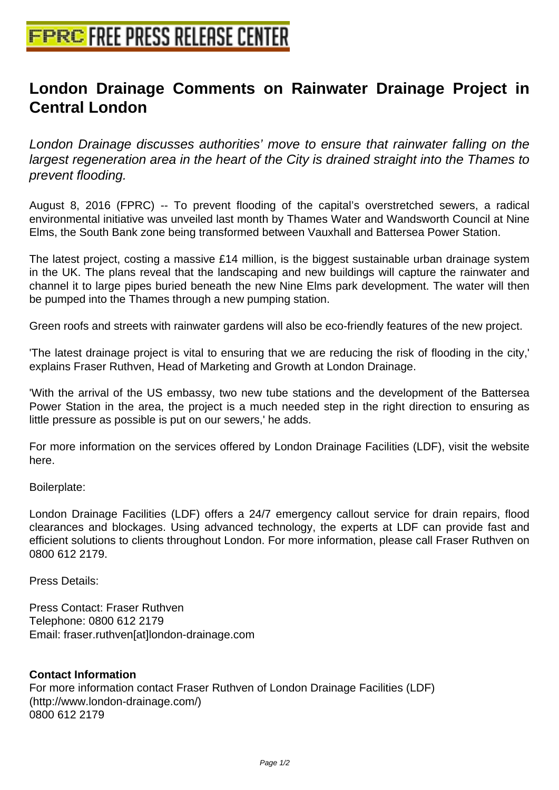## **[London Drainage Comments on](http://www.free-press-release-center.info) Rainwater Drainage Project in Central London**

London Drainage discusses authorities' move to ensure that rainwater falling on the largest regeneration area in the heart of the City is drained straight into the Thames to prevent flooding.

August 8, 2016 (FPRC) -- To prevent flooding of the capital's overstretched sewers, a radical environmental initiative was unveiled last month by Thames Water and Wandsworth Council at Nine Elms, the South Bank zone being transformed between Vauxhall and Battersea Power Station.

The latest project, costing a massive £14 million, is the biggest sustainable urban drainage system in the UK. The plans reveal that the landscaping and new buildings will capture the rainwater and channel it to large pipes buried beneath the new Nine Elms park development. The water will then be pumped into the Thames through a new pumping station.

Green roofs and streets with rainwater gardens will also be eco-friendly features of the new project.

'The latest drainage project is vital to ensuring that we are reducing the risk of flooding in the city,' explains Fraser Ruthven, Head of Marketing and Growth at London Drainage.

'With the arrival of the US embassy, two new tube stations and the development of the Battersea Power Station in the area, the project is a much needed step in the right direction to ensuring as little pressure as possible is put on our sewers,' he adds.

For more information on the services offered by London Drainage Facilities (LDF), visit the website here.

## Boilerplate:

London Drainage Facilities (LDF) offers a 24/7 emergency callout service for drain repairs, flood clearances and blockages. Using advanced technology, the experts at LDF can provide fast and efficient solutions to clients throughout London. For more information, please call Fraser Ruthven on 0800 612 2179.

Press Details:

Press Contact: Fraser Ruthven Telephone: 0800 612 2179 Email: fraser.ruthven[at]london-drainage.com

## **Contact Information**

For more information contact Fraser Ruthven of London Drainage Facilities (LDF) (http://www.london-drainage.com/) 0800 612 2179